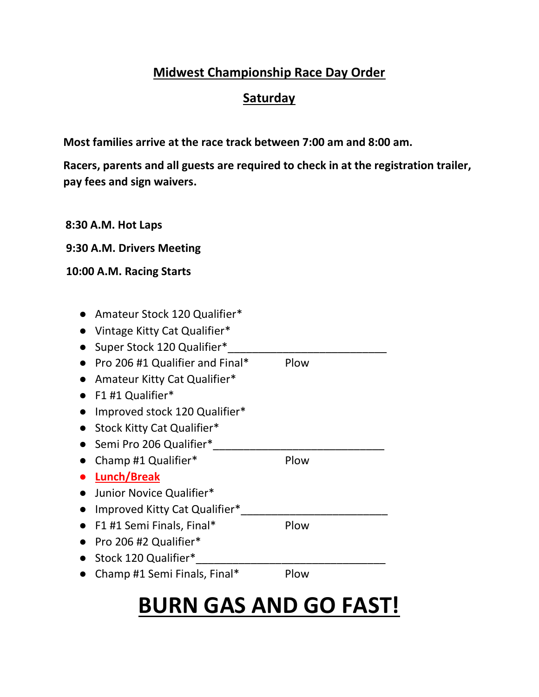### Midwest Championship Race Day Order

### **Saturday**

Most families arrive at the race track between 7:00 am and 8:00 am.

Racers, parents and all guests are required to check in at the registration trailer, pay fees and sign waivers.

|  | 8:30 A.M. Hot Laps |
|--|--------------------|
|--|--------------------|

9:30 A.M. Drivers Meeting

#### 10:00 A.M. Racing Starts

| Amateur Stock 120 Qualifier*    |      |  |
|---------------------------------|------|--|
| Vintage Kitty Cat Qualifier*    |      |  |
| Super Stock 120 Qualifier*      |      |  |
| Pro 206 #1 Qualifier and Final* | Plow |  |
| Amateur Kitty Cat Qualifier*    |      |  |
| F1 #1 Qualifier*                |      |  |
| Improved stock 120 Qualifier*   |      |  |
| Stock Kitty Cat Qualifier*      |      |  |
| Semi Pro 206 Qualifier*         |      |  |
| Champ #1 Qualifier*             | Plow |  |
| Lunch/Break                     |      |  |
| Junior Novice Qualifier*        |      |  |
| Improved Kitty Cat Qualifier*   |      |  |
| F1 #1 Semi Finals, Final*       | Plow |  |
| Pro 206 #2 Qualifier*           |      |  |
| Stock 120 Qualifier*            |      |  |
| Champ #1 Semi Finals, Final*    | Plow |  |
|                                 |      |  |

# BURN GAS AND GO FAST!